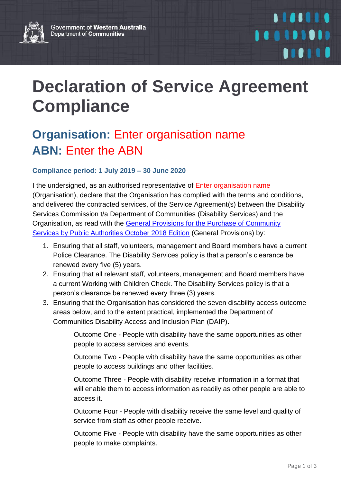

## **Declaration of Service Agreement Compliance**

## **Organisation:** Enter organisation name **ABN:** Enter the ABN

## **Compliance period: 1 July 2019 – 30 June 2020**

I the undersigned, as an authorised representative of Enter organisation name (Organisation), declare that the Organisation has complied with the terms and conditions, and delivered the contracted services, of the Service Agreement(s) between the Disability Services Commission t/a Department of Communities (Disability Services) and the Organisation, as read with the [General Provisions for the Purchase of Community](https://www.wa.gov.au/sites/default/files/2019-08/General%20Provisions%20for%20the%20Purchase%20of%20Community%20Services.pdf)  Services [by Public Authorities October 2018 Edition](https://www.wa.gov.au/sites/default/files/2019-08/General%20Provisions%20for%20the%20Purchase%20of%20Community%20Services.pdf) (General Provisions) by:

- 1. Ensuring that all staff, volunteers, management and Board members have a current Police Clearance. The Disability Services policy is that a person's clearance be renewed every five (5) years.
- 2. Ensuring that all relevant staff, volunteers, management and Board members have a current Working with Children Check. The Disability Services policy is that a person's clearance be renewed every three (3) years.
- 3. Ensuring that the Organisation has considered the seven disability access outcome areas below, and to the extent practical, implemented the Department of Communities Disability Access and Inclusion Plan (DAIP).

Outcome One - People with disability have the same opportunities as other people to access services and events.

Outcome Two - People with disability have the same opportunities as other people to access buildings and other facilities.

Outcome Three - People with disability receive information in a format that will enable them to access information as readily as other people are able to access it.

Outcome Four - People with disability receive the same level and quality of service from staff as other people receive.

Outcome Five - People with disability have the same opportunities as other people to make complaints.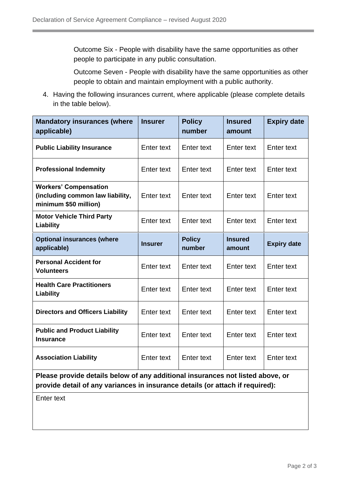Outcome Six - People with disability have the same opportunities as other people to participate in any public consultation.

Outcome Seven - People with disability have the same opportunities as other people to obtain and maintain employment with a public authority.

4. Having the following insurances current, where applicable (please complete details in the table below).

| <b>Mandatory insurances (where</b><br>applicable)                                         | <b>Insurer</b>    | <b>Policy</b><br>number | <b>Insured</b><br>amount | <b>Expiry date</b> |
|-------------------------------------------------------------------------------------------|-------------------|-------------------------|--------------------------|--------------------|
| <b>Public Liability Insurance</b>                                                         | Enter text        | Enter text              | Enter text               | Enter text         |
| <b>Professional Indemnity</b>                                                             | Enter text        | Enter text              | Enter text               | Enter text         |
| <b>Workers' Compensation</b><br>(including common law liability,<br>minimum \$50 million) | Enter text        | <b>Enter text</b>       | Enter text               | Enter text         |
| <b>Motor Vehicle Third Party</b><br>Liability                                             | <b>Enter text</b> | Enter text              | Enter text               | <b>Enter text</b>  |
| <b>Optional insurances (where</b><br>applicable)                                          | <b>Insurer</b>    | <b>Policy</b><br>number | <b>Insured</b><br>amount | <b>Expiry date</b> |
| <b>Personal Accident for</b><br><b>Volunteers</b>                                         | Enter text        | <b>Enter text</b>       | <b>Enter text</b>        | Enter text         |
| <b>Health Care Practitioners</b><br>Liability                                             | Enter text        | Enter text              | Enter text               | Enter text         |
| <b>Directors and Officers Liability</b>                                                   | Enter text        | Enter text              | Enter text               | Enter text         |
| <b>Public and Product Liability</b><br><b>Insurance</b>                                   | <b>Enter text</b> | <b>Enter text</b>       | Enter text               | Enter text         |
| <b>Association Liability</b>                                                              | <b>Enter text</b> | Enter text              | Enter text               | <b>Enter text</b>  |

**Please provide details below of any additional insurances not listed above, or provide detail of any variances in insurance details (or attach if required):**

Enter text